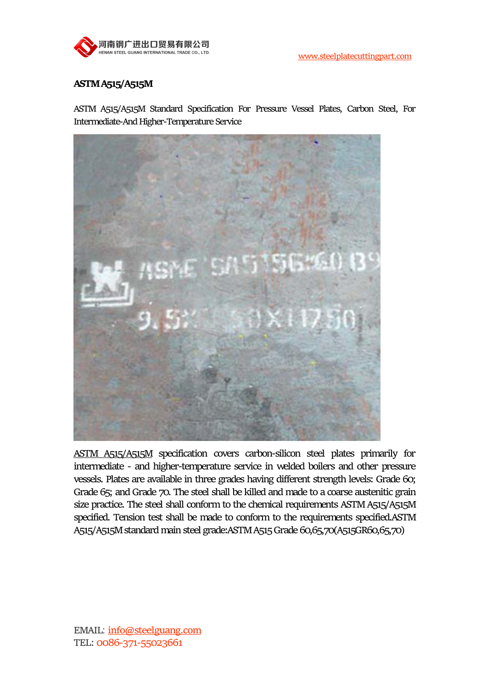

# **ASTM A515/A515M**

ASTM A515/A515M Standard Specification For Pressure Vessel Plates, Carbon Steel, For Intermediate-And Higher-Temperature Service



ASTM [A515/A515M](http://www.steelplatecuttingpart.com/products/asme-sa515-boiler-or-pressure-vessel-steel-plate.html) specification covers carbon-silicon steel plates primarily for intermediate - and higher-temperature service in welded boilers and other pressure vessels. Plates are available in three grades having different strength levels: Grade 60; Grade 65; and Grade 70. The steel shall be killed and made to a coarse austenitic grain size practice. The steel shall conform to the chemical requirements ASTM A515/A515M specified. Tension test shall be made to conform to the requirements specified.ASTM A515/A515M standard main steel grade:ASTM A515 Grade 60,65,70(A515GR60,65,70)